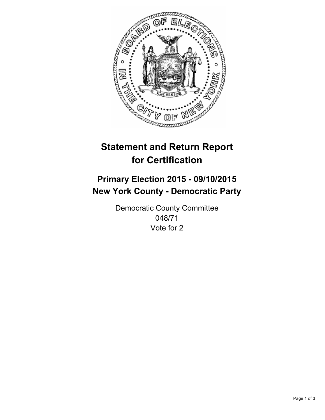

# **Statement and Return Report for Certification**

## **Primary Election 2015 - 09/10/2015 New York County - Democratic Party**

Democratic County Committee 048/71 Vote for 2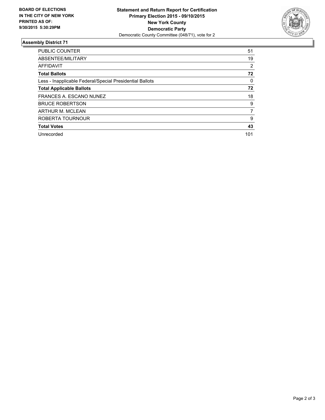

#### **Assembly District 71**

| <b>PUBLIC COUNTER</b>                                    | 51             |
|----------------------------------------------------------|----------------|
| ABSENTEE/MILITARY                                        | 19             |
| <b>AFFIDAVIT</b>                                         | $\overline{2}$ |
| <b>Total Ballots</b>                                     | 72             |
| Less - Inapplicable Federal/Special Presidential Ballots | 0              |
| <b>Total Applicable Ballots</b>                          | 72             |
| FRANCES A. ESCANO NUNEZ                                  | 18             |
| <b>BRUCE ROBERTSON</b>                                   | 9              |
| ARTHUR M. MCLEAN                                         | 7              |
| ROBERTA TOURNOUR                                         | 9              |
| <b>Total Votes</b>                                       | 43             |
| Unrecorded                                               | 101            |